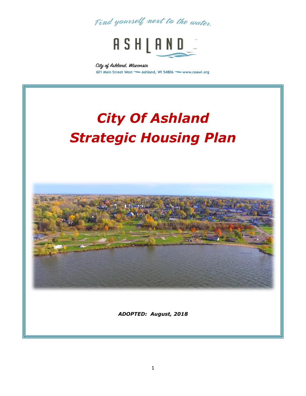



City of Ashland, Wisconsin 601 Main Street West <a>Ashland, WI 54806</a>Viewww.coawi.org

# *City Of Ashland Strategic Housing Plan*



*ADOPTED: August, 2018*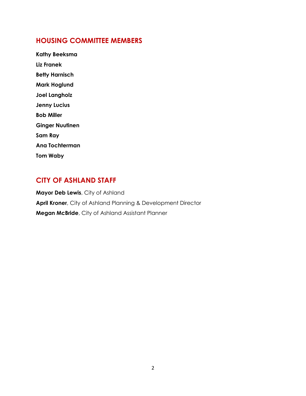#### **HOUSING COMMITTEE MEMBERS**

**Kathy Beeksma Liz Franek Betty Harnisch Mark Hoglund Joel Langholz Jenny Lucius Bob Miller Ginger Nuutinen Sam Ray Ana Tochterman Tom Waby**

#### **CITY OF ASHLAND STAFF**

**Mayor Deb Lewis**, City of Ashland **April Kroner**, City of Ashland Planning & Development Director **Megan McBride**, City of Ashland Assistant Planner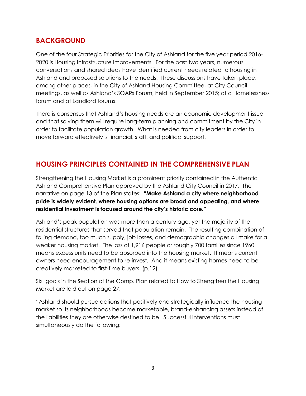#### **BACKGROUND**

One of the four Strategic Priorities for the City of Ashland for the five year period 2016- 2020 is Housing Infrastructure Improvements. For the past two years, numerous conversations and shared ideas have identified current needs related to housing in Ashland and proposed solutions to the needs. These discussions have taken place, among other places, in the City of Ashland Housing Committee, at City Council meetings, as well as Ashland's SOARs Forum, held in September 2015; at a Homelessness forum and at Landlord forums.

There is consensus that Ashland's housing needs are an economic development issue and that solving them will require long-term planning and commitment by the City in order to facilitate population growth. What is needed from city leaders in order to move forward effectively is financial, staff, and political support.

### **HOUSING PRINCIPLES CONTAINED IN THE COMPREHENSIVE PLAN**

Strengthening the Housing Market is a prominent priority contained in the Authentic Ashland Comprehensive Plan approved by the Ashland City Council in 2017. The narrative on page 13 of the Plan states: **"Make Ashland a city where neighborhood pride is widely evident, where housing options are broad and appealing, and where residential investment is focused around the city's historic core."**

Ashland's peak population was more than a century ago, yet the majority of the residential structures that served that population remain. The resulting combination of falling demand, too much supply, job losses, and demographic changes all make for a weaker housing market. The loss of 1,916 people or roughly 700 families since 1960 means excess units need to be absorbed into the housing market. It means current owners need encouragement to re-invest. And it means existing homes need to be creatively marketed to first-time buyers. (p.12)

Six goals in the Section of the Comp. Plan related to How to Strengthen the Housing Market are laid out on page 27:

"Ashland should pursue actions that positively and strategically influence the housing market so its neighborhoods become marketable, brand-enhancing assets instead of the liabilities they are otherwise destined to be. Successful interventions must simultaneously do the following: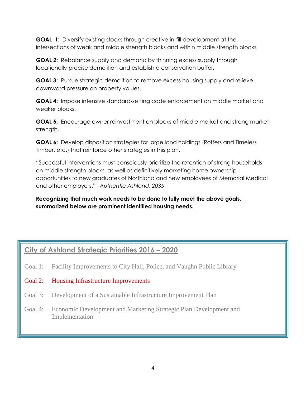**GOAL 1**: Diversify existing stocks through creative in-fill development at the intersections of weak and middle strength blocks and within middle strength blocks.

**GOAL 2:** Rebalance supply and demand by thinning excess supply through locationally-precise demolition and establish a conservation buffer*.*

**GOAL 3:** Pursue strategic demolition to remove excess housing supply and relieve downward pressure on property values.

**GOAL 4:** Impose intensive standard-setting code enforcement on middle market and weaker blocks.

**GOAL 5:** Encourage owner reinvestment on blocks of middle market and strong market strength.

**GOAL 6:** Develop disposition strategies for large land holdings (Roffers and Timeless Timber, etc.) that reinforce other strategies in this plan.

"Successful interventions must consciously prioritize the retention of strong households on middle strength blocks, as well as definitively marketing home ownership opportunities to new graduates of Northland and new employees of Memorial Medical and other employers." *–Authentic Ashland, 2035*

**Recognizing that much work needs to be done to fully meet the above goals, summarized below are prominent identified housing needs.**

## **City of Ashland Strategic Priorities 2016 – 2020**

- Goal 1: Facility Improvements to City Hall, Police, and Vaughn Public Library
- Goal 2: Housing Infrastructure Improvements
- Goal 3: Development of a Sustainable Infrastructure Improvement Plan
- Goal 4: Economic Development and Marketing Strategic Plan Development and Implementation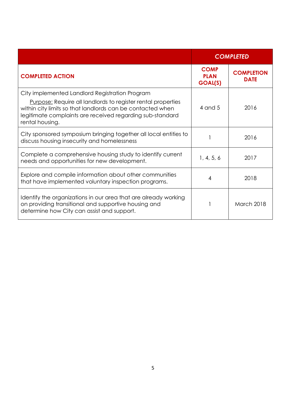|                                                                                                                                                                                                                                                                     |                                       | <b>COMPLETED</b>                 |
|---------------------------------------------------------------------------------------------------------------------------------------------------------------------------------------------------------------------------------------------------------------------|---------------------------------------|----------------------------------|
| <b>COMPLETED ACTION</b>                                                                                                                                                                                                                                             | <b>COMP</b><br><b>PLAN</b><br>GOAL(S) | <b>COMPLETION</b><br><b>DATE</b> |
| City implemented Landlord Registration Program<br><b>Purpose:</b> Require all landlords to register rental properties<br>within city limits so that landlords can be contacted when<br>legitimate complaints are received regarding sub-standard<br>rental housing. | 4 and 5                               | 2016                             |
| City sponsored symposium bringing together all local entities to<br>discuss housing insecurity and homelessness                                                                                                                                                     |                                       | 2016                             |
| Complete a comprehensive housing study to identify current<br>needs and opportunities for new development.                                                                                                                                                          | 1, 4, 5, 6                            | 2017                             |
| Explore and compile information about other communities<br>that have implemented voluntary inspection programs.                                                                                                                                                     | 4                                     | 2018                             |
| Identify the organizations in our area that are already working<br>on providing transitional and supportive housing and<br>determine how City can assist and support.                                                                                               |                                       | <b>March 2018</b>                |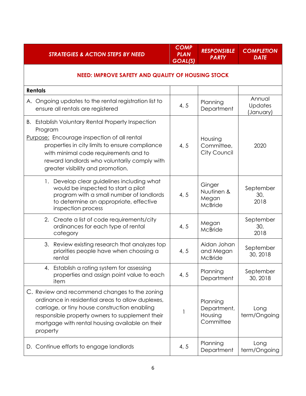| <b>STRATEGIES &amp; ACTION STEPS BY NEED</b>                                                                                                                                                                                                                                                | <b>COMP</b><br><b>PLAN</b><br>GOAL(S) | <b>RESPONSIBLE</b><br><b>PARTY</b>              | <b>COMPLETION</b><br><b>DATE</b> |
|---------------------------------------------------------------------------------------------------------------------------------------------------------------------------------------------------------------------------------------------------------------------------------------------|---------------------------------------|-------------------------------------------------|----------------------------------|
| <b>NEED: IMPROVE SAFETY AND QUALITY OF HOUSING STOCK</b>                                                                                                                                                                                                                                    |                                       |                                                 |                                  |
| <b>Rentals</b>                                                                                                                                                                                                                                                                              |                                       |                                                 |                                  |
| A. Ongoing updates to the rental registration list to<br>ensure all rentals are registered                                                                                                                                                                                                  | 4, 5                                  | Planning<br>Department                          | Annual<br>Updates<br>(January)   |
| B. Establish Voluntary Rental Property Inspection<br>Program<br>Purpose: Encourage inspection of all rental<br>properties in city limits to ensure compliance<br>with minimal code requirements and to<br>reward landlords who voluntarily comply with<br>greater visibility and promotion. | 4, 5                                  | Housing<br>Committee,<br>City Council           | 2020                             |
| 1. Develop clear guidelines including what<br>would be inspected to start a pilot<br>program with a small number of landlords<br>to determine an appropriate, effective<br>inspection process                                                                                               | 4, 5                                  | Ginger<br>Nuutinen &<br>Megan<br>McBride        | September<br>30,<br>2018         |
| 2. Create a list of code requirements/city<br>ordinances for each type of rental<br>category                                                                                                                                                                                                | 4, 5                                  | Megan<br>McBride                                | September<br>30,<br>2018         |
| 3. Review existing research that analyzes top<br>priorities people have when choosing a<br>rental                                                                                                                                                                                           | 4, 5                                  | Aidan Johan<br>and Megan<br>McBride             | September<br>30, 2018            |
| Establish a rating system for assessing<br>properties and assign point value to each<br>item                                                                                                                                                                                                | 4, 5                                  | Planning<br>Department                          | September<br>30, 2018            |
| C. Review and recommend changes to the zoning<br>ordinance in residential areas to allow duplexes,<br>carriage, or tiny house construction enabling<br>responsible property owners to supplement their<br>mortgage with rental housing available on their<br>property                       | 1                                     | Planning<br>Department,<br>Housing<br>Committee | Long<br>term/Ongoing             |
| D. Continue efforts to engage landlords                                                                                                                                                                                                                                                     | 4, 5                                  | Planning<br>Department                          | Long<br>term/Ongoing             |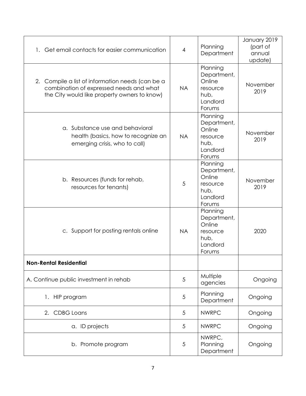| 1. Get email contacts for easier communication                                                                                              | 4          | Planning<br>Department                                                      | January 2019<br>(part of<br>annual<br>update) |
|---------------------------------------------------------------------------------------------------------------------------------------------|------------|-----------------------------------------------------------------------------|-----------------------------------------------|
| 2. Compile a list of information needs (can be a<br>combination of expressed needs and what<br>the City would like property owners to know) | <b>NA</b>  | Planning<br>Department,<br>Online<br>resource<br>hub,<br>Landlord<br>Forums | November<br>2019                              |
| a. Substance use and behavioral<br>health (basics, how to recognize an<br>emerging crisis, who to call)                                     | <b>NA</b>  | Planning<br>Department,<br>Online<br>resource<br>hub,<br>Landlord<br>Forums | November<br>2019                              |
| b. Resources (funds for rehab,<br>resources for tenants)                                                                                    | 5          | Planning<br>Department,<br>Online<br>resource<br>hub,<br>Landlord<br>Forums | November<br>2019                              |
| c. Support for posting rentals online                                                                                                       | <b>NA</b>  | Planning<br>Department,<br>Online<br>resource<br>hub,<br>Landlord<br>Forums | 2020                                          |
| <b>Non-Rental Residential</b>                                                                                                               |            |                                                                             |                                               |
| A. Continue public investment in rehab                                                                                                      | 5          | Multiple<br>agencies                                                        | Ongoing                                       |
| HIP program<br>1.                                                                                                                           | 5          | Planning<br>Department                                                      | Ongoing                                       |
| <b>CDBG</b> Loans<br>2.                                                                                                                     | 5          | <b>NWRPC</b>                                                                | Ongoing                                       |
| a. ID projects                                                                                                                              | 5          | <b>NWRPC</b>                                                                | Ongoing                                       |
| b. Promote program                                                                                                                          | $\sqrt{5}$ | NWRPC,<br>Planning<br>Department                                            | Ongoing                                       |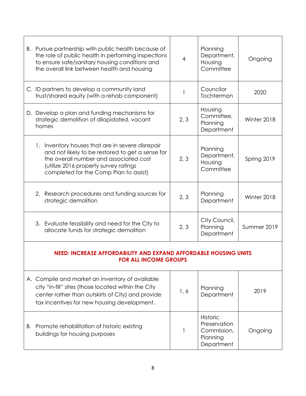|                                                                                                  | B. Pursue partnership with public health because of<br>the role of public health in performing inspections<br>to ensure safe/sanitary housing conditions and<br>the overall link between health and housing                       | 4    | Planning<br>Department,<br>Housing<br>Committee                          | Ongoing     |
|--------------------------------------------------------------------------------------------------|-----------------------------------------------------------------------------------------------------------------------------------------------------------------------------------------------------------------------------------|------|--------------------------------------------------------------------------|-------------|
|                                                                                                  | C. ID partners to develop a community land<br>trust/shared equity (with a rehab component)                                                                                                                                        |      | Councilor<br>Tochterman                                                  | 2020        |
|                                                                                                  | D. Develop a plan and funding mechanisms for<br>strategic demolition of dilapidated, vacant<br>homes                                                                                                                              | 2, 3 | Housing<br>Committee,<br>Planning<br>Department                          | Winter 2018 |
|                                                                                                  | 1. Inventory houses that are in severe disrepair<br>and not likely to be restored to get a sense for<br>the overall number and associated cost<br>(utilize 2016 property survey ratings<br>completed for the Comp Plan to assist) | 2, 3 | Planning<br>Department,<br>Housing<br>Committee                          | Spring 2019 |
|                                                                                                  | 2. Research procedures and funding sources for<br>strategic demolition                                                                                                                                                            | 2, 3 | Planning<br>Department                                                   | Winter 2018 |
|                                                                                                  | 3. Evaluate feasibility and need for the City to<br>allocate funds for strategic demolition                                                                                                                                       | 2, 3 | City Council,<br>Planning<br>Department                                  | Summer 2019 |
| NEED: INCREASE AFFORDABILITY AND EXPAND AFFORDABLE HOUSING UNITS<br><b>FOR ALL INCOME GROUPS</b> |                                                                                                                                                                                                                                   |      |                                                                          |             |
|                                                                                                  | A. Compile and market an inventory of available<br>city "in-fill" sites (those located within the City<br>center rather than outskirts of City) and provide<br>tax incentives for new housing development.                        | 1,6  | Planning<br>Department                                                   | 2019        |
|                                                                                                  | B. Promote rehabilitation of historic existing<br>buildings for housing purposes                                                                                                                                                  | 1    | <b>Historic</b><br>Preservation<br>Commission,<br>Planning<br>Department | Ongoing     |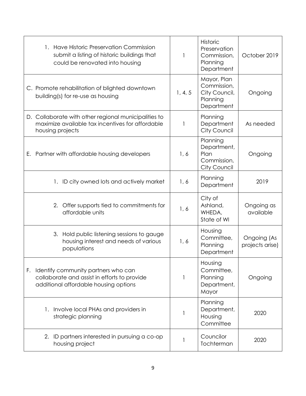| 1. Have Historic Preservation Commission<br>submit a listing of historic buildings that<br>could be renovated into housing         |         | Historic<br>Preservation<br>Commission,<br>Planning<br>Department     | October 2019                   |
|------------------------------------------------------------------------------------------------------------------------------------|---------|-----------------------------------------------------------------------|--------------------------------|
| C. Promote rehabilitation of blighted downtown<br>building(s) for re-use as housing                                                | 1, 4, 5 | Mayor, Plan<br>Commission,<br>City Council,<br>Planning<br>Department | Ongoing                        |
| D. Collaborate with other regional municipalities to<br>maximize available tax incentives for affordable<br>housing projects       |         | Planning<br>Department<br>City Council                                | As needed                      |
| E. Partner with affordable housing developers                                                                                      | 1, 6    | Planning<br>Department,<br>Plan<br>Commission,<br><b>City Council</b> | Ongoing                        |
| ID city owned lots and actively market<br>1.                                                                                       | 1, 6    | Planning<br>Department                                                | 2019                           |
| 2. Offer supports tied to commitments for<br>affordable units                                                                      | 1, 6    | City of<br>Ashland,<br>WHEDA,<br>State of WI                          | Ongoing as<br>available        |
| 3. Hold public listening sessions to gauge<br>housing interest and needs of various<br>populations                                 | 1,6     | Housing<br>Committee,<br>Planning<br>Department                       | Ongoing (As<br>projects arise) |
| Identify community partners who can<br>F.<br>collaborate and assist in efforts to provide<br>additional affordable housing options |         | Housing<br>Committee,<br>Planning<br>Department,<br>Mayor             | Ongoing                        |
| 1. Involve local PHAs and providers in<br>strategic planning                                                                       |         | Planning<br>Department,<br>Housing<br>Committee                       | 2020                           |
| ID partners interested in pursuing a co-op<br>2.<br>housing project                                                                |         | Councilor<br>Tochterman                                               | 2020                           |